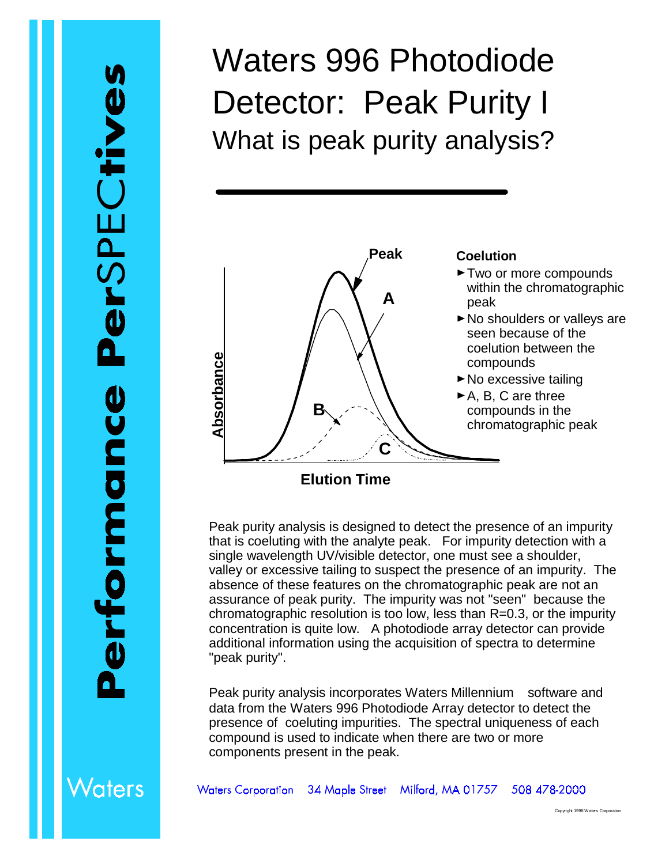## Waters 996 Photodiode Detector: Peak Purity I What is peak purity analysis?



Peak purity analysis is designed to detect the presence of an impurity that is coeluting with the analyte peak. For impurity detection with a single wavelength UV/visible detector, one must see a shoulder, valley or excessive tailing to suspect the presence of an impurity. The absence of these features on the chromatographic peak are not an assurance of peak purity. The impurity was not "seen" because the chromatographic resolution is too low, less than R=0.3, or the impurity concentration is quite low. A photodiode array detector can provide additional information using the acquisition of spectra to determine "peak purity".

Peak purity analysis incorporates Waters Millennium<sup>®</sup> software and data from the Waters 996 Photodiode Array detector to detect the presence of coeluting impurities. The spectral uniqueness of each compound is used to indicate when there are two or more components present in the peak.